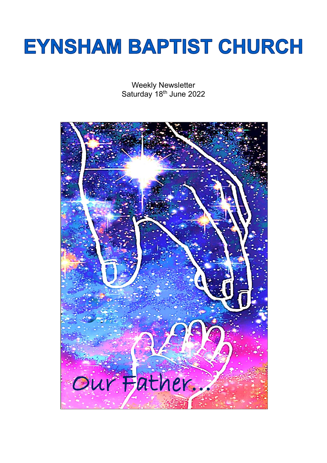# **EYNSHAM BAPTIST CHURCH**

Weekly Newsletter Saturday 18<sup>th</sup> June 2022

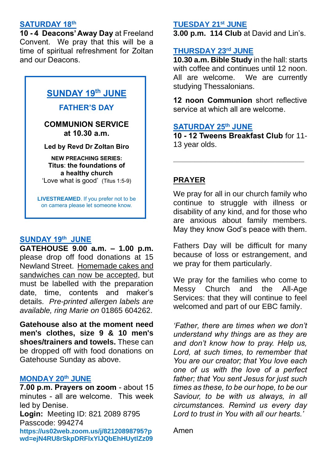### **SATURDAY 18th**

**10 - 4 Deacons' Away Day** at Freeland Convent. We pray that this will be a time of spiritual refreshment for Zoltan and our Deacons.

# **SUNDAY 19th JUNE**

#### **FATHER'S DAY**

## **COMMUNION SERVICE at 10.30 a.m.**

#### **Led by Revd Dr Zoltan Biro**

**NEW PREACHING SERIES: Titus**: **the foundations of a healthy church** 'Love what is good' (Titus 1:5-9)

**LIVESTREAMED**. If you prefer not to be on camera please let someone know.

## **SUNDAY 19th JUNE**

**GATEHOUSE 9.00 a.m. – 1.00 p.m.** please drop off food donations at 15 Newland Street. Homemade cakes and sandwiches can now be accepted, but must be labelled with the preparation date, time, contents and maker's details. *Pre-printed allergen labels are available, ring Marie on* 01865 604262.

**Gatehouse also at the moment need men's clothes, size 9 & 10 men's shoes/trainers and towels.** These can be dropped off with food donations on Gatehouse Sunday as above.

## **MONDAY 20th JUNE**

**7.00 p.m. Prayers on zoom** - about 15 minutes - all are welcome. This week led by Denise.

**Login:** Meeting ID: 821 2089 8795 Passcode: 994274 **[https://us02web.zoom.us/j/82120898795?p](https://us02web.zoom.us/j/82120898795?pwd=ejN4RU8rSkpDRFlxYlJQbEhHUytlZz09) [wd=ejN4RU8rSkpDRFlxYlJQbEhHUytlZz09](https://us02web.zoom.us/j/82120898795?pwd=ejN4RU8rSkpDRFlxYlJQbEhHUytlZz09)**

#### **TUESDAY 21st JUNE**

**3.00 p.m. 114 Club** at David and Lin's.

## **THURSDAY 23rd JUNE**

**10.30 a.m. Bible Study** in the hall: starts with coffee and continues until 12 noon. All are welcome. We are currently studying Thessalonians.

**12 noon Communion** short reflective service at which all are welcome.

# **SATURDAY 25th JUNE**

**10 - 12 Tweens Breakfast Club** for 11- 13 year olds.

**\_\_\_\_\_\_\_\_\_\_\_\_\_\_\_\_\_\_\_\_\_\_\_\_\_\_\_\_\_\_\_**

# **PRAYER**

We pray for all in our church family who continue to struggle with illness or disability of any kind, and for those who are anxious about family members. May they know God's peace with them.

Fathers Day will be difficult for many because of loss or estrangement, and we pray for them particularly.

We pray for the families who come to Messy Church and the All-Age Services: that they will continue to feel welcomed and part of our EBC family. ľ

*'Father, there are times when we don't understand why things are as they are and don't know how to pray. Help us, Lord, at such times, to remember that You are our creator; that You love each one of us with the love of a perfect father; that You sent Jesus for just such times as these, to be our hope, to be our Saviour, to be with us always, in all circumstances. Remind us every day Lord to trust in You with all our hearts.'*

Amen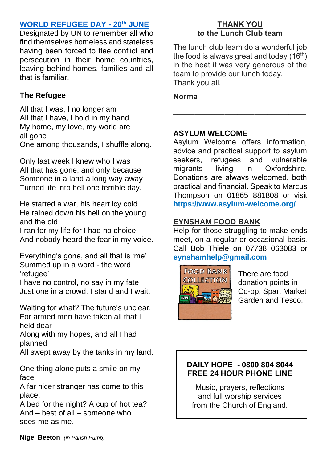# **WORLD REFUGEE DAY - 20th JUNE**

Designated by UN to remember all who find themselves homeless and stateless having been forced to flee conflict and persecution in their home countries, leaving behind homes, families and all that is familiar.

# **The Refugee**

All that I was, I no longer am All that I have, I hold in my hand My home, my love, my world are all gone One among thousands, I shuffle along.

Only last week I knew who I was All that has gone, and only because Someone in a land a long way away Turned life into hell one terrible day.

He started a war, his heart icy cold He rained down his hell on the young and the old

I ran for my life for I had no choice And nobody heard the fear in my voice.

Everything's gone, and all that is 'me' Summed up in a word - the word 'refugee'

I have no control, no say in my fate Just one in a crowd, I stand and I wait.

Waiting for what? The future's unclear, For armed men have taken all that I held dear

Along with my hopes, and all I had planned

All swept away by the tanks in my land.

One thing alone puts a smile on my face

A far nicer stranger has come to this place;

A bed for the night? A cup of hot tea? And – best of all – someone who sees me as me.

## **THANK YOU to the Lunch Club team**

The lunch club team do a wonderful job the food is always great and today  $(16<sup>th</sup>)$ in the heat it was very generous of the team to provide our lunch today. Thank you all.

**\_\_\_\_\_\_\_\_\_\_\_\_\_\_\_\_\_\_\_\_\_\_\_\_\_\_\_\_\_\_\_**

**Norma**

# **ASYLUM WELCOME**

Asylum Welcome offers information, advice and practical support to asylum seekers, refugees and vulnerable migrants living in Oxfordshire. Donations are always welcomed, both practical and financial. Speak to Marcus Thompson on 01865 881808 or visit **<https://www.asylum-welcome.org/>**

# **EYNSHAM FOOD BANK**

Help for those struggling to make ends meet, on a regular or occasional basis. Call Bob Thiele on 07738 063083 or **[eynshamhelp@gmail.com](mailto:eynshamhelp@gmail.com)** 



There are food donation points in Co-op, Spar, Market Garden and Tesco.

# **DAILY HOPE - 0800 804 8044 FREE 24 HOUR PHONE LINE**

Music, prayers, reflections and full worship services from the Church of England.